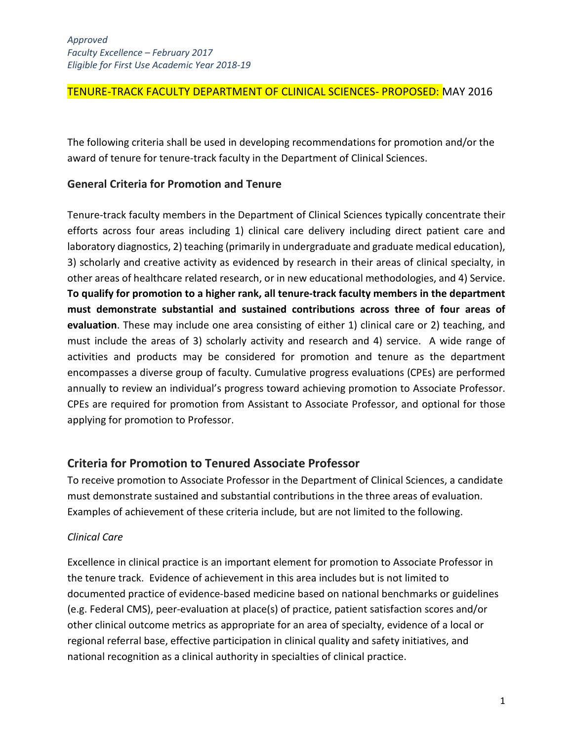## TENURE-TRACK FACULTY DEPARTMENT OF CLINICAL SCIENCES- PROPOSED: MAY 2016

The following criteria shall be used in developing recommendations for promotion and/or the award of tenure for tenure-track faculty in the Department of Clinical Sciences.

## **General Criteria for Promotion and Tenure**

Tenure-track faculty members in the Department of Clinical Sciences typically concentrate their efforts across four areas including 1) clinical care delivery including direct patient care and laboratory diagnostics, 2) teaching (primarily in undergraduate and graduate medical education), 3) scholarly and creative activity as evidenced by research in their areas of clinical specialty, in other areas of healthcare related research, or in new educational methodologies, and 4) Service. **To qualify for promotion to a higher rank, all tenure-track faculty members in the department must demonstrate substantial and sustained contributions across three of four areas of evaluation**. These may include one area consisting of either 1) clinical care or 2) teaching, and must include the areas of 3) scholarly activity and research and 4) service. A wide range of activities and products may be considered for promotion and tenure as the department encompasses a diverse group of faculty. Cumulative progress evaluations (CPEs) are performed annually to review an individual's progress toward achieving promotion to Associate Professor. CPEs are required for promotion from Assistant to Associate Professor, and optional for those applying for promotion to Professor.

# **Criteria for Promotion to Tenured Associate Professor**

To receive promotion to Associate Professor in the Department of Clinical Sciences, a candidate must demonstrate sustained and substantial contributions in the three areas of evaluation. Examples of achievement of these criteria include, but are not limited to the following.

#### *Clinical Care*

Excellence in clinical practice is an important element for promotion to Associate Professor in the tenure track. Evidence of achievement in this area includes but is not limited to documented practice of evidence-based medicine based on national benchmarks or guidelines (e.g. Federal CMS), peer-evaluation at place(s) of practice, patient satisfaction scores and/or other clinical outcome metrics as appropriate for an area of specialty, evidence of a local or regional referral base, effective participation in clinical quality and safety initiatives, and national recognition as a clinical authority in specialties of clinical practice.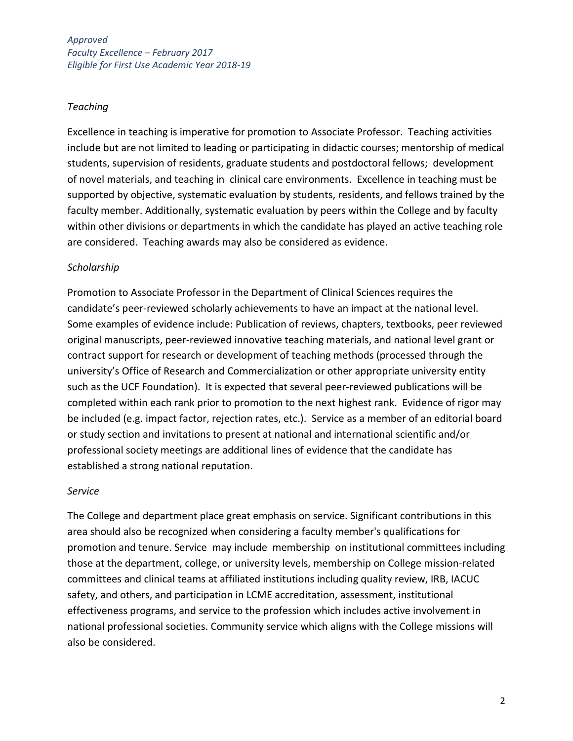*Approved Faculty Excellence – February 2017 Eligible for First Use Academic Year 2018-19*

#### *Teaching*

Excellence in teaching is imperative for promotion to Associate Professor. Teaching activities include but are not limited to leading or participating in didactic courses; mentorship of medical students, supervision of residents, graduate students and postdoctoral fellows; development of novel materials, and teaching in clinical care environments. Excellence in teaching must be supported by objective, systematic evaluation by students, residents, and fellows trained by the faculty member. Additionally, systematic evaluation by peers within the College and by faculty within other divisions or departments in which the candidate has played an active teaching role are considered. Teaching awards may also be considered as evidence.

### *Scholarship*

Promotion to Associate Professor in the Department of Clinical Sciences requires the candidate's peer-reviewed scholarly achievements to have an impact at the national level. Some examples of evidence include: Publication of reviews, chapters, textbooks, peer reviewed original manuscripts, peer-reviewed innovative teaching materials, and national level grant or contract support for research or development of teaching methods (processed through the university's Office of Research and Commercialization or other appropriate university entity such as the UCF Foundation). It is expected that several peer-reviewed publications will be completed within each rank prior to promotion to the next highest rank. Evidence of rigor may be included (e.g. impact factor, rejection rates, etc.). Service as a member of an editorial board or study section and invitations to present at national and international scientific and/or professional society meetings are additional lines of evidence that the candidate has established a strong national reputation.

#### *Service*

The College and department place great emphasis on service. Significant contributions in this area should also be recognized when considering a faculty member's qualifications for promotion and tenure. Service may include membership on institutional committees including those at the department, college, or university levels, membership on College mission-related committees and clinical teams at affiliated institutions including quality review, IRB, IACUC safety, and others, and participation in LCME accreditation, assessment, institutional effectiveness programs, and service to the profession which includes active involvement in national professional societies. Community service which aligns with the College missions will also be considered.